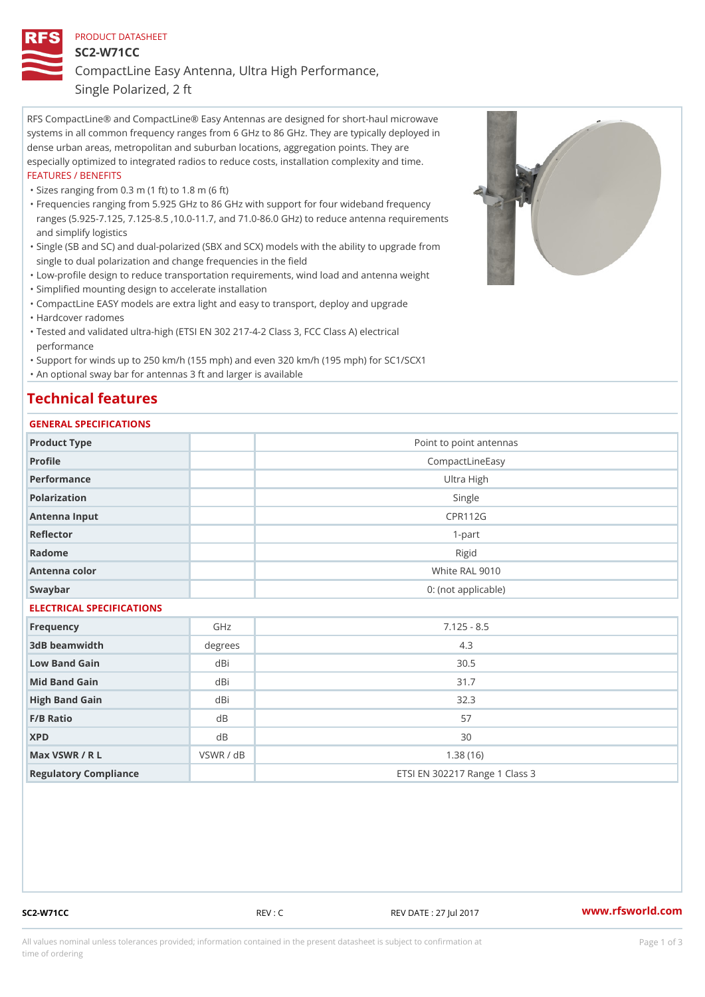# PRODUCT DATASHEET SC2-W71CC CompactLine Easy Antenna, Ultra High Performance, Single Polarized, 2 ft

RFS CompactLine® and CompactLine® Easy Antennas are designed for short-haul microwave systems in all common frequency ranges from 6 GHz to 86 GHz. They are typically deployed in dense urban areas, metropolitan and suburban locations, aggregation points. They are especially optimized to integrated radios to reduce costs, installation complexity and time. FEATURES / BENEFITS

"Sizes ranging from 0.3 m (1 ft) to 1.8 m (6 ft)

- Frequencies ranging from 5.925 GHz to 86 GHz with support for four wideband frequency " ranges (5.925-7.125, 7.125-8.5 ,10.0-11.7, and 71.0-86.0 GHz) to reduce antenna requirements and simplify logistics
- Single (SB and SC) and dual-polarized (SBX and SCX) models with the ability to upgrade from " single to dual polarization and change frequencies in the field
- "Low-profile design to reduce transportation requirements, wind load and antenna weight
- "Simplified mounting design to accelerate installation

 "CompactLine EASY models are extra light and easy to transport, deploy and upgrade "Hardcover radomes

Tested and validated ultra-high (ETSI EN 302 217-4-2 Class 3, FCC Class A) electrical " performance

 "Support for winds up to 250 km/h (155 mph) and even 320 km/h (195 mph) for SC1/SCX1 "An optional sway bar for antennas 3 ft and larger is available

# Technical features

## GENERAL SPECIFICATIONS

|                           | OLIVERAL OF LOTITOATIONS |                                |  |  |  |  |  |
|---------------------------|--------------------------|--------------------------------|--|--|--|--|--|
| Product Type              |                          | Point to point antennas        |  |  |  |  |  |
| Profile                   |                          | CompactLineEasy                |  |  |  |  |  |
| Performance               |                          | Ultra High                     |  |  |  |  |  |
| Polarization              |                          | Single                         |  |  |  |  |  |
| Antenna Input             |                          | CPR112G                        |  |  |  |  |  |
| Reflector                 |                          | $1 - p$ art                    |  |  |  |  |  |
| Radome                    |                          | Rigid                          |  |  |  |  |  |
| Antenna color             |                          | White RAL 9010                 |  |  |  |  |  |
| Swaybar                   |                          | 0: (not applicable)            |  |  |  |  |  |
| ELECTRICAL SPECIFICATIONS |                          |                                |  |  |  |  |  |
| Frequency                 | GHz                      | $7.125 - 8.5$                  |  |  |  |  |  |
| 3dB beamwidth             | degrees                  | 4.3                            |  |  |  |  |  |
| Low Band Gain             | dBi                      | $30.5$                         |  |  |  |  |  |
| Mid Band Gain             | dBi                      | 31.7                           |  |  |  |  |  |
| High Band Gain            | dBi                      | 32.3                           |  |  |  |  |  |
| F/B Ratio                 | d B                      | 57                             |  |  |  |  |  |
| <b>XPD</b>                | $d$ B                    | 30                             |  |  |  |  |  |
| Max VSWR / R L            | VSWR / dB                | 1.38(16)                       |  |  |  |  |  |
| Regulatory Compliance     |                          | ETSI EN 302217 Range 1 Class 3 |  |  |  |  |  |

SC2-W71CC REV : C REV DATE : 27 Jul 2017 [www.](https://www.rfsworld.com)rfsworld.com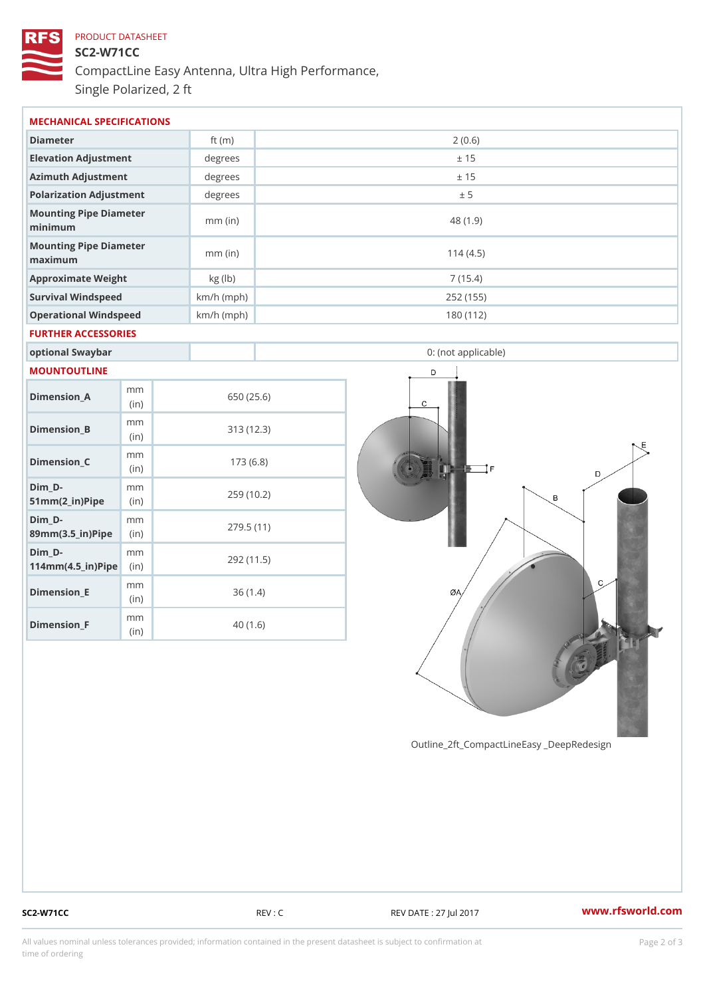# PRODUCT DATASHEET SC2-W71CC CompactLine Easy Antenna, Ultra High Performance, Single Polarized, 2 ft

| MECHANICAL SPECIFICATIONS                                                        |                |              |            |                     |  |  |  |
|----------------------------------------------------------------------------------|----------------|--------------|------------|---------------------|--|--|--|
| Diameter                                                                         |                | ft $(m)$     | 2(0.6)     |                     |  |  |  |
| Elevation Adjustment                                                             |                | degree       |            | ± 15                |  |  |  |
| Azimuth Adjustment                                                               |                | degrees      | ± 15       |                     |  |  |  |
| Polarization Adjustment                                                          |                | degrees      | ± 5        |                     |  |  |  |
| Mounting Pipe Diameter<br>minimum                                                |                | $mm$ (in)    |            | 48 (1.9)            |  |  |  |
| Mounting Pipe Diameter<br>maximum                                                |                | $mm$ (in)    |            | 114(4.5)            |  |  |  |
| Approximate Weight                                                               |                | kg (lb)      |            | 7(15.4)             |  |  |  |
| Survival Windspeed                                                               |                | $km/h$ (mph) |            | 252 (155)           |  |  |  |
| Operational Windspeed                                                            |                | $km/h$ (mph) |            | 180 (112)           |  |  |  |
| FURTHER ACCESSORIES                                                              |                |              |            |                     |  |  |  |
| optional Swaybar                                                                 |                |              |            | 0: (not applicable) |  |  |  |
| MOUNTOUTLINE                                                                     |                |              |            |                     |  |  |  |
| $Dimenision_A$                                                                   | m m<br>(in)    |              | 650 (25.6) |                     |  |  |  |
| Dimension_B                                                                      | m m<br>(i n)   |              | 313(12.3)  |                     |  |  |  |
| Dimension_C                                                                      | m m<br>(in)    |              | 173(6.8)   |                     |  |  |  |
| $Dim_D - D -$<br>$51mm(2_in)Pip@in$                                              | m <sub>m</sub> |              | 259 (10.2) |                     |  |  |  |
| $Dim_D - D -$<br>$89$ m m $(3.5 \text{ m})$ P i(pine)                            | m <sub>m</sub> |              | 279.5(11)  |                     |  |  |  |
| Dim D-<br>$A \land A$ m m $A \subset \mathbb{R}$ is $\mathbb{R}$ in $\mathbb{R}$ | m <sub>m</sub> |              | 292 (11.5) |                     |  |  |  |

Outline\_2ft\_CompactLineEasy \_DeepRedesi

 $114$  m m  $(4.5$   $\pm$  ir  $)$   $\sqrt{$  ii p  $\approx$ 

mm (in)

m m (in)

Dimension\_E

Dimension\_F

36 (1.4)

40 (1.6)

SC2-W71CC REV : C REV EXECT REV DATE : 27 Jul 2017 WWW.rfsworld.com